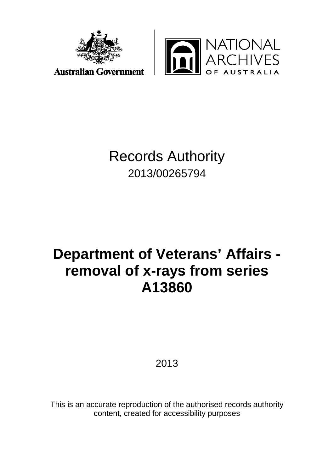



## Records Authority 2013/00265794

# **Department of Veterans' Affairs removal of x-rays from series A13860**

2013

This is an accurate reproduction of the authorised records authority content, created for accessibility purposes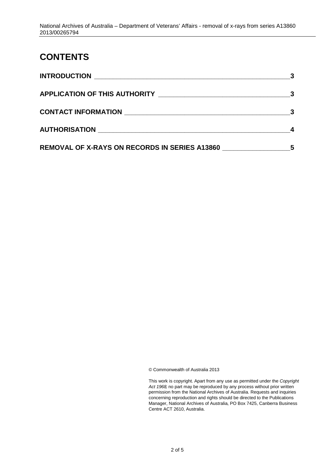#### **CONTENTS**

| <b>INTRODUCTION</b><br><u> 1980 - Andrea Andrew Maria (h. 1980).</u> |   |
|----------------------------------------------------------------------|---|
|                                                                      | 3 |
| CONTACT INFORMATION                                                  |   |
|                                                                      |   |
| <b>REMOVAL OF X-RAYS ON RECORDS IN SERIES A13860</b>                 | 5 |

© Commonwealth of Australia 2013

This work is copyright. Apart from any use as permitted under the *Copyright Act 1968,* no part may be reproduced by any process without prior written permission from the National Archives of Australia. Requests and inquiries concerning reproduction and rights should be directed to the Publications Manager, National Archives of Australia, PO Box 7425, Canberra Business Centre ACT 2610, Australia.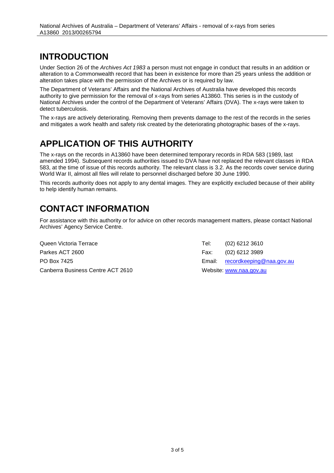#### <span id="page-2-0"></span>**INTRODUCTION**

Under Section 26 of the *Archives Act 1983* a person must not engage in conduct that results in an addition or alteration to a Commonwealth record that has been in existence for more than 25 years unless the addition or alteration takes place with the permission of the Archives or is required by law.

The Department of Veterans' Affairs and the National Archives of Australia have developed this records authority to give permission for the removal of x-rays from series A13860. This series is in the custody of National Archives under the control of the Department of Veterans' Affairs (DVA). The x-rays were taken to detect tuberculosis.

The x-rays are actively deteriorating. Removing them prevents damage to the rest of the records in the series and mitigates a work health and safety risk created by the deteriorating photographic bases of the x-rays.

### <span id="page-2-1"></span>**APPLICATION OF THIS AUTHORITY**

The x-rays on the records in A13860 have been determined temporary records in RDA 583 (1989, last amended 1994). Subsequent records authorities issued to DVA have not replaced the relevant classes in RDA 583, at the time of issue of this records authority. The relevant class is 3.2. As the records cover service during World War II, almost all files will relate to personnel discharged before 30 June 1990.

This records authority does not apply to any dental images. They are explicitly excluded because of their ability to help identify human remains.

### <span id="page-2-2"></span>**CONTACT INFORMATION**

For assistance with this authority or for advice on other records management matters, please contact National Archives' Agency Service Centre.

Queen Victoria Terrace Parkes ACT 2600 PO Box 7425 Canberra Business Centre ACT 2610 Tel: (02) 6212 3610 Fax: (02) 6212 3989 Email: [recordkeeping@naa.gov.au](mailto:recordkeeping@naa.gov.au) Website: [www.naa.gov.au](http://www.naa.gov.au/)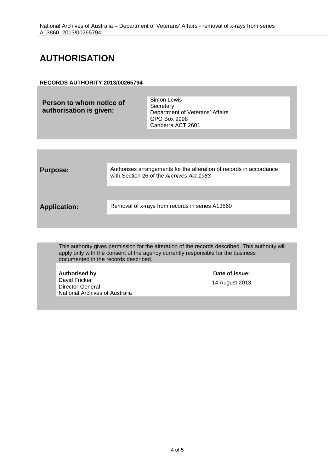#### <span id="page-3-0"></span>**AUTHORISATION**

#### **RECORDS AUTHORITY 2013/00265794**

| Person to whom notice of<br>authorisation is given: | Simon Lewis<br>Secretary<br>Department of Veterans' Affairs<br>GPO Box 9998<br>Canberra ACT 2601 |
|-----------------------------------------------------|--------------------------------------------------------------------------------------------------|
|                                                     |                                                                                                  |

| <b>Purpose:</b>     | Authorises arrangements for the alteration of records in accordance<br>with Section 26 of the Archives Act 1983 |
|---------------------|-----------------------------------------------------------------------------------------------------------------|
| <b>Application:</b> | Removal of x-rays from records in series A13860                                                                 |

This authority gives permission for the alteration of the records described. This authority will apply only with the consent of the agency currently responsible for the business documented in the records described.

**Authorised by Date of issue:** David Fricker Director-General National Archives of Australia

14 August 2013